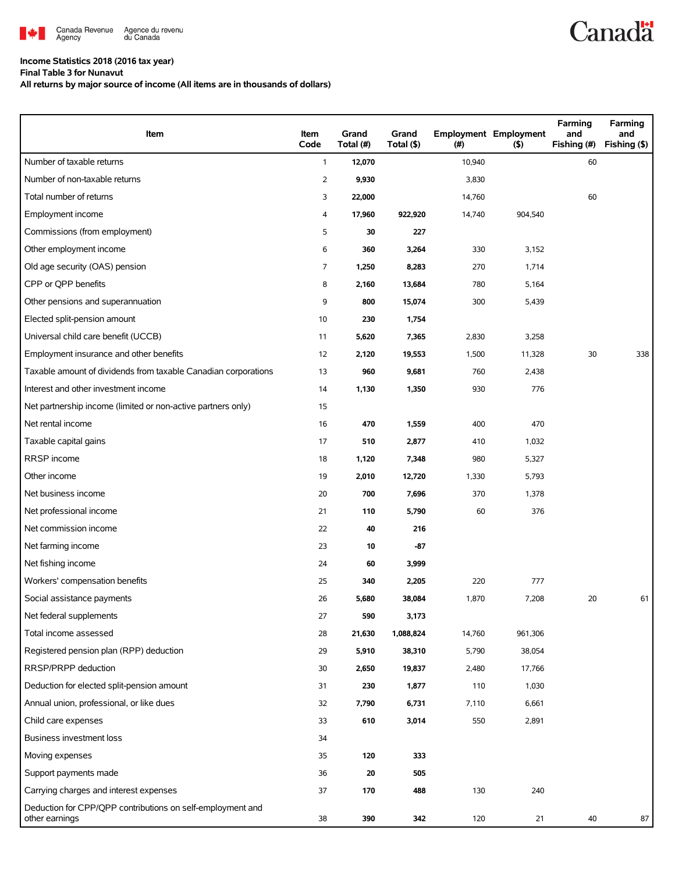

## **Income Statistics 2018 (2016 tax year)**

**Final Table 3 for Nunavut**

**All returns by major source of income (All items are in thousands of dollars)**

| Item                                                                         | Item<br>Code   | Grand<br>Total (#) | Grand<br>Total (\$) | (#)    | <b>Employment Employment</b><br>(5) | Farming<br>and<br>Fishing (#) | Farming<br>and<br>Fishing (\$) |
|------------------------------------------------------------------------------|----------------|--------------------|---------------------|--------|-------------------------------------|-------------------------------|--------------------------------|
| Number of taxable returns                                                    | $\mathbf{1}$   | 12,070             |                     | 10,940 |                                     | 60                            |                                |
| Number of non-taxable returns                                                | $\overline{2}$ | 9,930              |                     | 3,830  |                                     |                               |                                |
| Total number of returns                                                      | 3              | 22,000             |                     | 14,760 |                                     | 60                            |                                |
| Employment income                                                            | 4              | 17,960             | 922,920             | 14,740 | 904,540                             |                               |                                |
| Commissions (from employment)                                                | 5              | 30                 | 227                 |        |                                     |                               |                                |
| Other employment income                                                      | 6              | 360                | 3,264               | 330    | 3,152                               |                               |                                |
| Old age security (OAS) pension                                               | 7              | 1,250              | 8,283               | 270    | 1,714                               |                               |                                |
| CPP or QPP benefits                                                          | 8              | 2,160              | 13,684              | 780    | 5,164                               |                               |                                |
| Other pensions and superannuation                                            | 9              | 800                | 15,074              | 300    | 5,439                               |                               |                                |
| Elected split-pension amount                                                 | 10             | 230                | 1,754               |        |                                     |                               |                                |
| Universal child care benefit (UCCB)                                          | 11             | 5,620              | 7,365               | 2,830  | 3,258                               |                               |                                |
| Employment insurance and other benefits                                      | 12             | 2,120              | 19,553              | 1,500  | 11,328                              | 30                            | 338                            |
| Taxable amount of dividends from taxable Canadian corporations               | 13             | 960                | 9,681               | 760    | 2,438                               |                               |                                |
| Interest and other investment income                                         | 14             | 1,130              | 1,350               | 930    | 776                                 |                               |                                |
| Net partnership income (limited or non-active partners only)                 | 15             |                    |                     |        |                                     |                               |                                |
| Net rental income                                                            | 16             | 470                | 1,559               | 400    | 470                                 |                               |                                |
| Taxable capital gains                                                        | 17             | 510                | 2,877               | 410    | 1,032                               |                               |                                |
| RRSP income                                                                  | 18             | 1,120              | 7,348               | 980    | 5,327                               |                               |                                |
| Other income                                                                 | 19             | 2,010              | 12,720              | 1,330  | 5,793                               |                               |                                |
| Net business income                                                          | 20             | 700                | 7,696               | 370    | 1,378                               |                               |                                |
| Net professional income                                                      | 21             | 110                | 5,790               | 60     | 376                                 |                               |                                |
| Net commission income                                                        | 22             | 40                 | 216                 |        |                                     |                               |                                |
| Net farming income                                                           | 23             | 10                 | $-87$               |        |                                     |                               |                                |
| Net fishing income                                                           | 24             | 60                 | 3,999               |        |                                     |                               |                                |
| Workers' compensation benefits                                               | 25             | 340                | 2,205               | 220    | 777                                 |                               |                                |
| Social assistance payments                                                   | 26             | 5,680              | 38,084              | 1,870  | 7,208                               | 20                            | 61                             |
| Net federal supplements                                                      | 27             | 590                | 3,173               |        |                                     |                               |                                |
| Total income assessed                                                        | 28             | 21,630             | 1,088,824           | 14,760 | 961,306                             |                               |                                |
| Registered pension plan (RPP) deduction                                      | 29             | 5,910              | 38,310              | 5,790  | 38,054                              |                               |                                |
| RRSP/PRPP deduction                                                          | 30             | 2,650              | 19,837              | 2,480  | 17,766                              |                               |                                |
| Deduction for elected split-pension amount                                   | 31             | 230                | 1,877               | 110    | 1,030                               |                               |                                |
| Annual union, professional, or like dues                                     | 32             | 7,790              | 6,731               | 7,110  | 6,661                               |                               |                                |
| Child care expenses                                                          | 33             | 610                | 3,014               | 550    | 2,891                               |                               |                                |
| Business investment loss                                                     | 34             |                    |                     |        |                                     |                               |                                |
| Moving expenses                                                              | 35             | 120                | 333                 |        |                                     |                               |                                |
| Support payments made                                                        | 36             | 20                 | 505                 |        |                                     |                               |                                |
| Carrying charges and interest expenses                                       | 37             | 170                | 488                 | 130    | 240                                 |                               |                                |
| Deduction for CPP/QPP contributions on self-employment and<br>other earnings | 38             | 390                | 342                 | 120    | 21                                  | 40                            | 87                             |

**Canadä**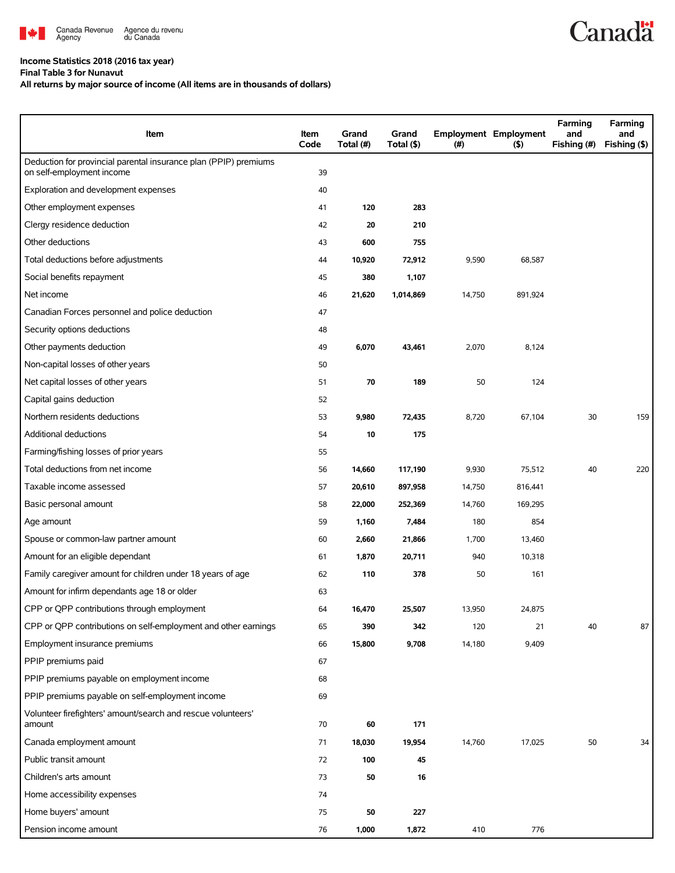

## **Income Statistics 2018 (2016 tax year)**

**Final Table 3 for Nunavut**

## **All returns by major source of income (All items are in thousands of dollars)**

| Item                                                                                          | Item<br>Code | Grand<br>Total (#) | Grand<br>Total (\$) | $($ # $)$ | <b>Employment Employment</b><br>(5) | Farming<br>and<br>Fishing (#) | Farming<br>and<br>Fishing (\$) |
|-----------------------------------------------------------------------------------------------|--------------|--------------------|---------------------|-----------|-------------------------------------|-------------------------------|--------------------------------|
| Deduction for provincial parental insurance plan (PPIP) premiums<br>on self-employment income | 39           |                    |                     |           |                                     |                               |                                |
| Exploration and development expenses                                                          | 40           |                    |                     |           |                                     |                               |                                |
| Other employment expenses                                                                     | 41           | 120                | 283                 |           |                                     |                               |                                |
| Clergy residence deduction                                                                    | 42           | 20                 | 210                 |           |                                     |                               |                                |
| Other deductions                                                                              | 43           | 600                | 755                 |           |                                     |                               |                                |
| Total deductions before adjustments                                                           | 44           | 10,920             | 72,912              | 9,590     | 68,587                              |                               |                                |
| Social benefits repayment                                                                     | 45           | 380                | 1,107               |           |                                     |                               |                                |
| Net income                                                                                    | 46           | 21,620             | 1,014,869           | 14,750    | 891,924                             |                               |                                |
| Canadian Forces personnel and police deduction                                                | 47           |                    |                     |           |                                     |                               |                                |
| Security options deductions                                                                   | 48           |                    |                     |           |                                     |                               |                                |
| Other payments deduction                                                                      | 49           | 6,070              | 43,461              | 2,070     | 8,124                               |                               |                                |
| Non-capital losses of other years                                                             | 50           |                    |                     |           |                                     |                               |                                |
| Net capital losses of other years                                                             | 51           | 70                 | 189                 | 50        | 124                                 |                               |                                |
| Capital gains deduction                                                                       | 52           |                    |                     |           |                                     |                               |                                |
| Northern residents deductions                                                                 | 53           | 9,980              | 72,435              | 8,720     | 67,104                              | 30                            | 159                            |
| Additional deductions                                                                         | 54           | 10                 | 175                 |           |                                     |                               |                                |
| Farming/fishing losses of prior years                                                         | 55           |                    |                     |           |                                     |                               |                                |
| Total deductions from net income                                                              | 56           | 14,660             | 117,190             | 9,930     | 75,512                              | 40                            | 220                            |
| Taxable income assessed                                                                       | 57           | 20,610             | 897,958             | 14,750    | 816,441                             |                               |                                |
| Basic personal amount                                                                         | 58           | 22,000             | 252,369             | 14,760    | 169,295                             |                               |                                |
| Age amount                                                                                    | 59           | 1,160              | 7,484               | 180       | 854                                 |                               |                                |
| Spouse or common-law partner amount                                                           | 60           | 2,660              | 21,866              | 1,700     | 13,460                              |                               |                                |
| Amount for an eligible dependant                                                              | 61           | 1,870              | 20,711              | 940       | 10,318                              |                               |                                |
| Family caregiver amount for children under 18 years of age                                    | 62           | 110                | 378                 | 50        | 161                                 |                               |                                |
| Amount for infirm dependants age 18 or older                                                  | 63           |                    |                     |           |                                     |                               |                                |
| CPP or QPP contributions through employment                                                   | 64           | 16,470             | 25,507              | 13,950    | 24,875                              |                               |                                |
| CPP or QPP contributions on self-employment and other earnings                                | 65           | 390                | 342                 | 120       | 21                                  | 40                            | 87                             |
| Employment insurance premiums                                                                 | 66           | 15,800             | 9,708               | 14,180    | 9,409                               |                               |                                |
| PPIP premiums paid                                                                            | 67           |                    |                     |           |                                     |                               |                                |
| PPIP premiums payable on employment income                                                    | 68           |                    |                     |           |                                     |                               |                                |
| PPIP premiums payable on self-employment income                                               | 69           |                    |                     |           |                                     |                               |                                |
| Volunteer firefighters' amount/search and rescue volunteers'<br>amount                        | 70           | 60                 | 171                 |           |                                     |                               |                                |
| Canada employment amount                                                                      | 71           | 18,030             | 19,954              | 14,760    | 17,025                              | 50                            | 34                             |
| Public transit amount                                                                         | 72           | 100                | 45                  |           |                                     |                               |                                |
| Children's arts amount                                                                        | 73           | 50                 | 16                  |           |                                     |                               |                                |
| Home accessibility expenses                                                                   | 74           |                    |                     |           |                                     |                               |                                |
| Home buyers' amount                                                                           | 75           | 50                 | 227                 |           |                                     |                               |                                |
| Pension income amount                                                                         | 76           | 1,000              | 1,872               | 410       | 776                                 |                               |                                |

**Canadä**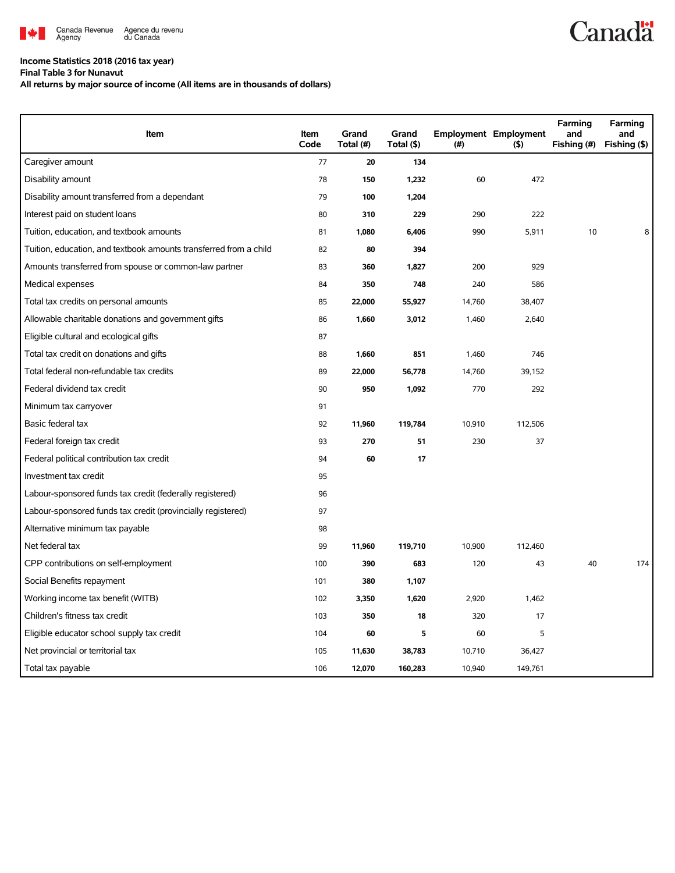

## **Income Statistics 2018 (2016 tax year)**

**Final Table 3 for Nunavut**

**All returns by major source of income (All items are in thousands of dollars)**

| Item                                                              | Item<br>Code | Grand<br>Total (#) | Grand<br>Total (\$) | $(\#)$ | <b>Employment Employment</b><br>$($ \$) | Farming<br>and<br>Fishing (#) | Farming<br>and<br>Fishing (\$) |
|-------------------------------------------------------------------|--------------|--------------------|---------------------|--------|-----------------------------------------|-------------------------------|--------------------------------|
| Caregiver amount                                                  | 77           | 20                 | 134                 |        |                                         |                               |                                |
| Disability amount                                                 | 78           | 150                | 1,232               | 60     | 472                                     |                               |                                |
| Disability amount transferred from a dependant                    | 79           | 100                | 1,204               |        |                                         |                               |                                |
| Interest paid on student loans                                    | 80           | 310                | 229                 | 290    | 222                                     |                               |                                |
| Tuition, education, and textbook amounts                          | 81           | 1,080              | 6,406               | 990    | 5,911                                   | 10                            | 8                              |
| Tuition, education, and textbook amounts transferred from a child | 82           | 80                 | 394                 |        |                                         |                               |                                |
| Amounts transferred from spouse or common-law partner             | 83           | 360                | 1,827               | 200    | 929                                     |                               |                                |
| Medical expenses                                                  | 84           | 350                | 748                 | 240    | 586                                     |                               |                                |
| Total tax credits on personal amounts                             | 85           | 22,000             | 55,927              | 14,760 | 38,407                                  |                               |                                |
| Allowable charitable donations and government gifts               | 86           | 1,660              | 3,012               | 1,460  | 2,640                                   |                               |                                |
| Eligible cultural and ecological gifts                            | 87           |                    |                     |        |                                         |                               |                                |
| Total tax credit on donations and gifts                           | 88           | 1,660              | 851                 | 1,460  | 746                                     |                               |                                |
| Total federal non-refundable tax credits                          | 89           | 22,000             | 56,778              | 14,760 | 39,152                                  |                               |                                |
| Federal dividend tax credit                                       | 90           | 950                | 1,092               | 770    | 292                                     |                               |                                |
| Minimum tax carryover                                             | 91           |                    |                     |        |                                         |                               |                                |
| Basic federal tax                                                 | 92           | 11,960             | 119,784             | 10,910 | 112,506                                 |                               |                                |
| Federal foreign tax credit                                        | 93           | 270                | 51                  | 230    | 37                                      |                               |                                |
| Federal political contribution tax credit                         | 94           | 60                 | 17                  |        |                                         |                               |                                |
| Investment tax credit                                             | 95           |                    |                     |        |                                         |                               |                                |
| Labour-sponsored funds tax credit (federally registered)          | 96           |                    |                     |        |                                         |                               |                                |
| Labour-sponsored funds tax credit (provincially registered)       | 97           |                    |                     |        |                                         |                               |                                |
| Alternative minimum tax payable                                   | 98           |                    |                     |        |                                         |                               |                                |
| Net federal tax                                                   | 99           | 11,960             | 119,710             | 10,900 | 112,460                                 |                               |                                |
| CPP contributions on self-employment                              | 100          | 390                | 683                 | 120    | 43                                      | 40                            | 174                            |
| Social Benefits repayment                                         | 101          | 380                | 1,107               |        |                                         |                               |                                |
| Working income tax benefit (WITB)                                 | 102          | 3,350              | 1,620               | 2,920  | 1,462                                   |                               |                                |
| Children's fitness tax credit                                     | 103          | 350                | 18                  | 320    | 17                                      |                               |                                |
| Eligible educator school supply tax credit                        | 104          | 60                 | 5                   | 60     | 5                                       |                               |                                |
| Net provincial or territorial tax                                 | 105          | 11,630             | 38,783              | 10,710 | 36,427                                  |                               |                                |
| Total tax payable                                                 | 106          | 12,070             | 160,283             | 10,940 | 149,761                                 |                               |                                |

**Canadä**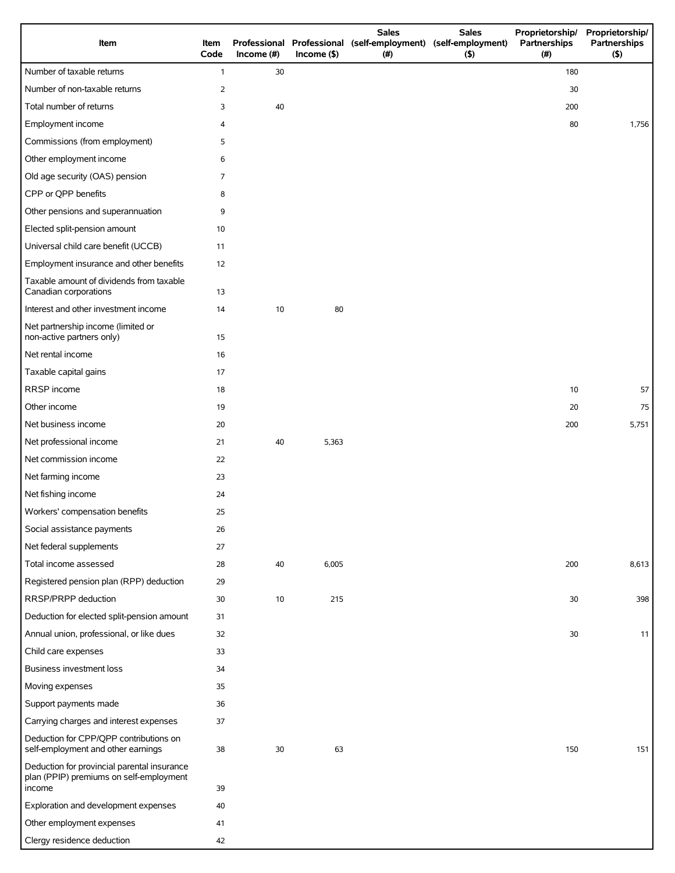|                                                                                                  |              |            |               | <b>Sales</b>                                                         | <b>Sales</b> | Proprietorship/      | Proprietorship/     |
|--------------------------------------------------------------------------------------------------|--------------|------------|---------------|----------------------------------------------------------------------|--------------|----------------------|---------------------|
| Item                                                                                             | Item<br>Code | Income (#) | $Income($ \$) | Professional Professional (self-employment) (self-employment)<br>(#) | (5)          | Partnerships<br>(# ) | Partnerships<br>(5) |
| Number of taxable returns                                                                        | $\mathbf{1}$ | 30         |               |                                                                      |              | 180                  |                     |
| Number of non-taxable returns                                                                    | 2            |            |               |                                                                      |              | 30                   |                     |
| Total number of returns                                                                          | 3            | 40         |               |                                                                      |              | 200                  |                     |
| Employment income                                                                                | 4            |            |               |                                                                      |              | 80                   | 1,756               |
| Commissions (from employment)                                                                    | 5            |            |               |                                                                      |              |                      |                     |
| Other employment income                                                                          | 6            |            |               |                                                                      |              |                      |                     |
| Old age security (OAS) pension                                                                   | 7            |            |               |                                                                      |              |                      |                     |
| CPP or QPP benefits                                                                              | 8            |            |               |                                                                      |              |                      |                     |
| Other pensions and superannuation                                                                | 9            |            |               |                                                                      |              |                      |                     |
| Elected split-pension amount                                                                     | 10           |            |               |                                                                      |              |                      |                     |
| Universal child care benefit (UCCB)                                                              | 11           |            |               |                                                                      |              |                      |                     |
| Employment insurance and other benefits                                                          | 12           |            |               |                                                                      |              |                      |                     |
| Taxable amount of dividends from taxable<br>Canadian corporations                                | 13           |            |               |                                                                      |              |                      |                     |
| Interest and other investment income                                                             | 14           | 10         | 80            |                                                                      |              |                      |                     |
| Net partnership income (limited or<br>non-active partners only)                                  | 15           |            |               |                                                                      |              |                      |                     |
| Net rental income                                                                                | 16           |            |               |                                                                      |              |                      |                     |
| Taxable capital gains                                                                            | 17           |            |               |                                                                      |              |                      |                     |
| RRSP income                                                                                      | 18           |            |               |                                                                      |              | 10                   | 57                  |
| Other income                                                                                     | 19           |            |               |                                                                      |              | 20                   | 75                  |
| Net business income                                                                              | 20           |            |               |                                                                      |              | 200                  | 5,751               |
| Net professional income                                                                          | 21           | 40         | 5,363         |                                                                      |              |                      |                     |
| Net commission income                                                                            | 22           |            |               |                                                                      |              |                      |                     |
| Net farming income                                                                               | 23           |            |               |                                                                      |              |                      |                     |
| Net fishing income                                                                               | 24           |            |               |                                                                      |              |                      |                     |
| Workers' compensation benefits                                                                   | 25           |            |               |                                                                      |              |                      |                     |
| Social assistance payments                                                                       | 26           |            |               |                                                                      |              |                      |                     |
| Net federal supplements                                                                          | 27           |            |               |                                                                      |              |                      |                     |
| Total income assessed                                                                            | 28           | 40         | 6,005         |                                                                      |              | 200                  | 8,613               |
| Registered pension plan (RPP) deduction                                                          | 29           |            |               |                                                                      |              |                      |                     |
| RRSP/PRPP deduction                                                                              | 30           | 10         | 215           |                                                                      |              | 30                   | 398                 |
| Deduction for elected split-pension amount                                                       | 31           |            |               |                                                                      |              |                      |                     |
| Annual union, professional, or like dues                                                         | 32           |            |               |                                                                      |              | 30                   | 11                  |
| Child care expenses                                                                              | 33           |            |               |                                                                      |              |                      |                     |
| Business investment loss                                                                         | 34           |            |               |                                                                      |              |                      |                     |
| Moving expenses                                                                                  | 35           |            |               |                                                                      |              |                      |                     |
| Support payments made                                                                            | 36           |            |               |                                                                      |              |                      |                     |
| Carrying charges and interest expenses                                                           | 37           |            |               |                                                                      |              |                      |                     |
| Deduction for CPP/QPP contributions on<br>self-employment and other earnings                     | 38           | 30         | 63            |                                                                      |              | 150                  | 151                 |
| Deduction for provincial parental insurance<br>plan (PPIP) premiums on self-employment<br>income | 39           |            |               |                                                                      |              |                      |                     |
| Exploration and development expenses                                                             | 40           |            |               |                                                                      |              |                      |                     |
| Other employment expenses                                                                        | 41           |            |               |                                                                      |              |                      |                     |
| Clergy residence deduction                                                                       | 42           |            |               |                                                                      |              |                      |                     |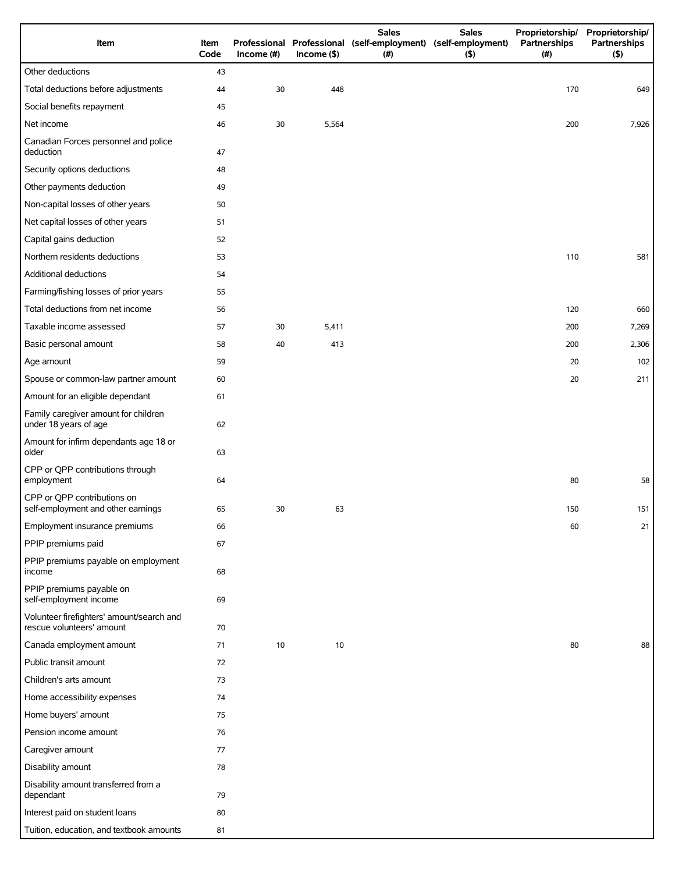| Item                                                                   | Item<br>Code | Income $(\#)$ | $Income$ (\$) | <b>Sales</b><br>Professional Professional (self-employment) (self-employment)<br>(# ) | <b>Sales</b><br>$($ \$) | Proprietorship/<br>Partnerships<br>(#) | Proprietorship/<br>Partnerships<br>(5) |
|------------------------------------------------------------------------|--------------|---------------|---------------|---------------------------------------------------------------------------------------|-------------------------|----------------------------------------|----------------------------------------|
| Other deductions                                                       | 43           |               |               |                                                                                       |                         |                                        |                                        |
| Total deductions before adjustments                                    | 44           | 30            | 448           |                                                                                       |                         | 170                                    | 649                                    |
| Social benefits repayment                                              | 45           |               |               |                                                                                       |                         |                                        |                                        |
| Net income                                                             | 46           | 30            | 5,564         |                                                                                       |                         | 200                                    | 7,926                                  |
| Canadian Forces personnel and police<br>deduction                      | 47           |               |               |                                                                                       |                         |                                        |                                        |
| Security options deductions                                            | 48           |               |               |                                                                                       |                         |                                        |                                        |
| Other payments deduction                                               | 49           |               |               |                                                                                       |                         |                                        |                                        |
| Non-capital losses of other years                                      | 50           |               |               |                                                                                       |                         |                                        |                                        |
| Net capital losses of other years                                      | 51           |               |               |                                                                                       |                         |                                        |                                        |
| Capital gains deduction                                                | 52           |               |               |                                                                                       |                         |                                        |                                        |
| Northern residents deductions                                          | 53           |               |               |                                                                                       |                         | 110                                    | 581                                    |
| Additional deductions                                                  | 54           |               |               |                                                                                       |                         |                                        |                                        |
| Farming/fishing losses of prior years                                  | 55           |               |               |                                                                                       |                         |                                        |                                        |
| Total deductions from net income                                       | 56           |               |               |                                                                                       |                         | 120                                    | 660                                    |
| Taxable income assessed                                                | 57           | 30            | 5,411         |                                                                                       |                         | 200                                    | 7,269                                  |
| Basic personal amount                                                  | 58           | 40            | 413           |                                                                                       |                         | 200                                    | 2,306                                  |
| Age amount                                                             | 59           |               |               |                                                                                       |                         | 20                                     | 102                                    |
| Spouse or common-law partner amount                                    | 60           |               |               |                                                                                       |                         | 20                                     | 211                                    |
| Amount for an eligible dependant                                       | 61           |               |               |                                                                                       |                         |                                        |                                        |
| Family caregiver amount for children<br>under 18 years of age          | 62           |               |               |                                                                                       |                         |                                        |                                        |
| Amount for infirm dependants age 18 or<br>older                        | 63           |               |               |                                                                                       |                         |                                        |                                        |
| CPP or QPP contributions through<br>employment                         | 64           |               |               |                                                                                       |                         | 80                                     | 58                                     |
| CPP or QPP contributions on<br>self-employment and other earnings      | 65           | 30            | 63            |                                                                                       |                         | 150                                    | 151                                    |
| Employment insurance premiums                                          | 66           |               |               |                                                                                       |                         | 60                                     | 21                                     |
| PPIP premiums paid                                                     | 67           |               |               |                                                                                       |                         |                                        |                                        |
| PPIP premiums payable on employment<br>income                          | 68           |               |               |                                                                                       |                         |                                        |                                        |
| PPIP premiums payable on<br>self-employment income                     | 69           |               |               |                                                                                       |                         |                                        |                                        |
| Volunteer firefighters' amount/search and<br>rescue volunteers' amount | 70           |               |               |                                                                                       |                         |                                        |                                        |
| Canada employment amount                                               | 71           | 10            | 10            |                                                                                       |                         | 80                                     | 88                                     |
| Public transit amount                                                  | 72           |               |               |                                                                                       |                         |                                        |                                        |
| Children's arts amount                                                 | 73           |               |               |                                                                                       |                         |                                        |                                        |
| Home accessibility expenses                                            | 74           |               |               |                                                                                       |                         |                                        |                                        |
| Home buyers' amount                                                    | 75           |               |               |                                                                                       |                         |                                        |                                        |
| Pension income amount                                                  | 76           |               |               |                                                                                       |                         |                                        |                                        |
| Caregiver amount                                                       | 77           |               |               |                                                                                       |                         |                                        |                                        |
| Disability amount                                                      | 78           |               |               |                                                                                       |                         |                                        |                                        |
| Disability amount transferred from a<br>dependant                      | 79           |               |               |                                                                                       |                         |                                        |                                        |
| Interest paid on student loans                                         | 80           |               |               |                                                                                       |                         |                                        |                                        |
| Tuition, education, and textbook amounts                               | 81           |               |               |                                                                                       |                         |                                        |                                        |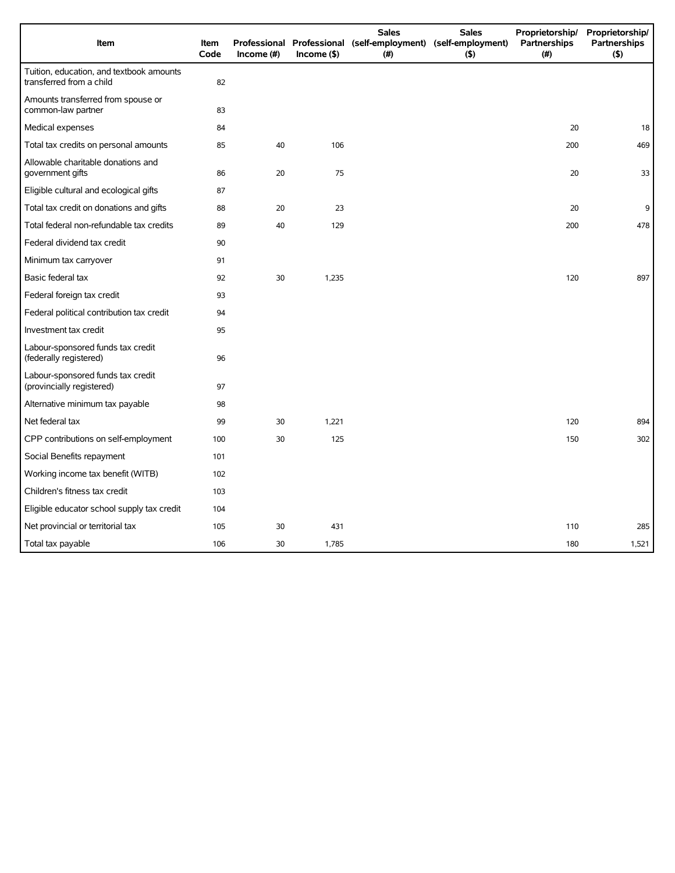| Item                                                                 | Item<br>Code | Income $(\#)$ | $Income($ \$) | <b>Sales</b><br>Professional Professional (self-employment) (self-employment)<br>(#) | <b>Sales</b><br>(5) | Proprietorship/<br>Partnerships<br>(#) | Proprietorship/<br><b>Partnerships</b><br>(5) |
|----------------------------------------------------------------------|--------------|---------------|---------------|--------------------------------------------------------------------------------------|---------------------|----------------------------------------|-----------------------------------------------|
| Tuition, education, and textbook amounts<br>transferred from a child | 82           |               |               |                                                                                      |                     |                                        |                                               |
| Amounts transferred from spouse or<br>common-law partner             | 83           |               |               |                                                                                      |                     |                                        |                                               |
| Medical expenses                                                     | 84           |               |               |                                                                                      |                     | 20                                     | 18                                            |
| Total tax credits on personal amounts                                | 85           | 40            | 106           |                                                                                      |                     | 200                                    | 469                                           |
| Allowable charitable donations and<br>government gifts               | 86           | 20            | 75            |                                                                                      |                     | 20                                     | 33                                            |
| Eligible cultural and ecological gifts                               | 87           |               |               |                                                                                      |                     |                                        |                                               |
| Total tax credit on donations and gifts                              | 88           | 20            | 23            |                                                                                      |                     | 20                                     | 9                                             |
| Total federal non-refundable tax credits                             | 89           | 40            | 129           |                                                                                      |                     | 200                                    | 478                                           |
| Federal dividend tax credit                                          | 90           |               |               |                                                                                      |                     |                                        |                                               |
| Minimum tax carryover                                                | 91           |               |               |                                                                                      |                     |                                        |                                               |
| Basic federal tax                                                    | 92           | 30            | 1,235         |                                                                                      |                     | 120                                    | 897                                           |
| Federal foreign tax credit                                           | 93           |               |               |                                                                                      |                     |                                        |                                               |
| Federal political contribution tax credit                            | 94           |               |               |                                                                                      |                     |                                        |                                               |
| Investment tax credit                                                | 95           |               |               |                                                                                      |                     |                                        |                                               |
| Labour-sponsored funds tax credit<br>(federally registered)          | 96           |               |               |                                                                                      |                     |                                        |                                               |
| Labour-sponsored funds tax credit<br>(provincially registered)       | 97           |               |               |                                                                                      |                     |                                        |                                               |
| Alternative minimum tax payable                                      | 98           |               |               |                                                                                      |                     |                                        |                                               |
| Net federal tax                                                      | 99           | 30            | 1,221         |                                                                                      |                     | 120                                    | 894                                           |
| CPP contributions on self-employment                                 | 100          | 30            | 125           |                                                                                      |                     | 150                                    | 302                                           |
| Social Benefits repayment                                            | 101          |               |               |                                                                                      |                     |                                        |                                               |
| Working income tax benefit (WITB)                                    | 102          |               |               |                                                                                      |                     |                                        |                                               |
| Children's fitness tax credit                                        | 103          |               |               |                                                                                      |                     |                                        |                                               |
| Eligible educator school supply tax credit                           | 104          |               |               |                                                                                      |                     |                                        |                                               |
| Net provincial or territorial tax                                    | 105          | 30            | 431           |                                                                                      |                     | 110                                    | 285                                           |
| Total tax payable                                                    | 106          | 30            | 1,785         |                                                                                      |                     | 180                                    | 1,521                                         |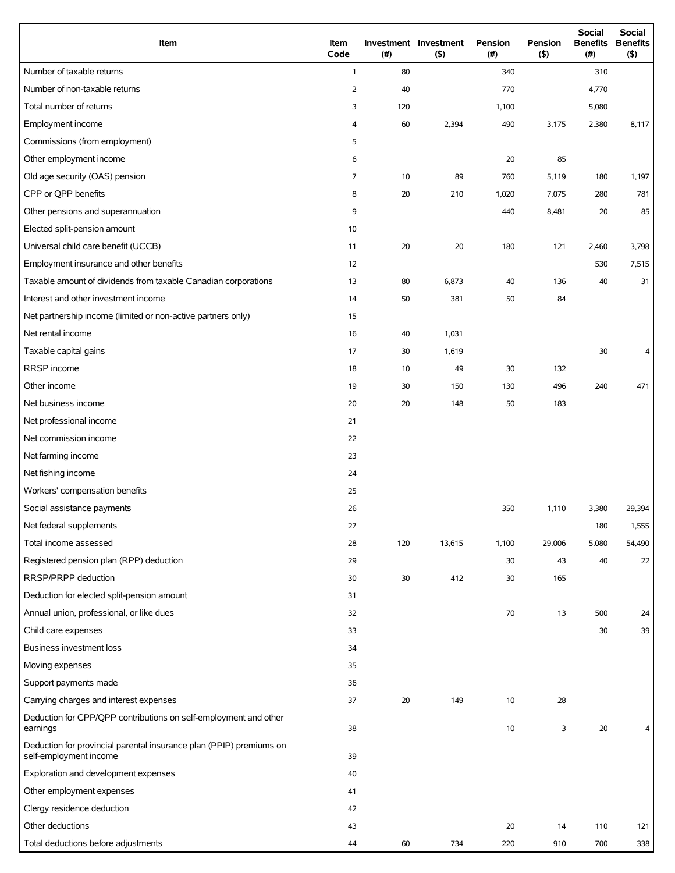| Item                                                                                          | Item<br>Code   | (# ) | Investment Investment<br>(5) | <b>Pension</b><br>(#) | <b>Pension</b><br>(5) | <b>Social</b><br><b>Benefits</b><br>(# ) | Social<br><b>Benefits</b><br>(5) |
|-----------------------------------------------------------------------------------------------|----------------|------|------------------------------|-----------------------|-----------------------|------------------------------------------|----------------------------------|
| Number of taxable returns                                                                     | $\mathbf{1}$   | 80   |                              | 340                   |                       | 310                                      |                                  |
| Number of non-taxable returns                                                                 | $\overline{2}$ | 40   |                              | 770                   |                       | 4,770                                    |                                  |
| Total number of returns                                                                       | 3              | 120  |                              | 1,100                 |                       | 5,080                                    |                                  |
| Employment income                                                                             | 4              | 60   | 2,394                        | 490                   | 3,175                 | 2,380                                    | 8,117                            |
| Commissions (from employment)                                                                 | 5              |      |                              |                       |                       |                                          |                                  |
| Other employment income                                                                       | 6              |      |                              | 20                    | 85                    |                                          |                                  |
| Old age security (OAS) pension                                                                | 7              | 10   | 89                           | 760                   | 5,119                 | 180                                      | 1,197                            |
| CPP or QPP benefits                                                                           | 8              | 20   | 210                          | 1,020                 | 7,075                 | 280                                      | 781                              |
| Other pensions and superannuation                                                             | 9              |      |                              | 440                   | 8,481                 | 20                                       | 85                               |
| Elected split-pension amount                                                                  | 10             |      |                              |                       |                       |                                          |                                  |
| Universal child care benefit (UCCB)                                                           | 11             | 20   | 20                           | 180                   | 121                   | 2,460                                    | 3,798                            |
| Employment insurance and other benefits                                                       | 12             |      |                              |                       |                       | 530                                      | 7,515                            |
| Taxable amount of dividends from taxable Canadian corporations                                | 13             | 80   | 6,873                        | 40                    | 136                   | 40                                       | 31                               |
| Interest and other investment income                                                          | 14             | 50   | 381                          | 50                    | 84                    |                                          |                                  |
| Net partnership income (limited or non-active partners only)                                  | 15             |      |                              |                       |                       |                                          |                                  |
| Net rental income                                                                             | 16             | 40   | 1,031                        |                       |                       |                                          |                                  |
| Taxable capital gains                                                                         | 17             | 30   | 1,619                        |                       |                       | 30                                       | 4                                |
| RRSP income                                                                                   | 18             | 10   | 49                           | 30                    | 132                   |                                          |                                  |
| Other income                                                                                  | 19             | 30   | 150                          | 130                   | 496                   | 240                                      | 471                              |
| Net business income                                                                           | 20             | 20   | 148                          | 50                    | 183                   |                                          |                                  |
| Net professional income                                                                       | 21             |      |                              |                       |                       |                                          |                                  |
| Net commission income                                                                         | 22             |      |                              |                       |                       |                                          |                                  |
| Net farming income                                                                            | 23             |      |                              |                       |                       |                                          |                                  |
| Net fishing income                                                                            | 24             |      |                              |                       |                       |                                          |                                  |
| Workers' compensation benefits                                                                | 25             |      |                              |                       |                       |                                          |                                  |
| Social assistance payments                                                                    | 26             |      |                              | 350                   | 1,110                 | 3,380                                    | 29,394                           |
| Net federal supplements                                                                       | 27             |      |                              |                       |                       | 180                                      | 1,555                            |
| Total income assessed                                                                         | 28             | 120  | 13,615                       | 1,100                 | 29,006                | 5,080                                    | 54,490                           |
| Registered pension plan (RPP) deduction                                                       | 29             |      |                              | 30                    | 43                    | 40                                       | 22                               |
| RRSP/PRPP deduction                                                                           | 30             | 30   | 412                          | 30                    | 165                   |                                          |                                  |
| Deduction for elected split-pension amount                                                    | 31             |      |                              |                       |                       |                                          |                                  |
| Annual union, professional, or like dues                                                      | 32             |      |                              | 70                    | 13                    | 500                                      | 24                               |
| Child care expenses                                                                           | 33             |      |                              |                       |                       | 30                                       | 39                               |
| Business investment loss                                                                      | 34             |      |                              |                       |                       |                                          |                                  |
| Moving expenses                                                                               | 35             |      |                              |                       |                       |                                          |                                  |
| Support payments made                                                                         | 36             |      |                              |                       |                       |                                          |                                  |
| Carrying charges and interest expenses                                                        | 37             | 20   | 149                          | 10                    | 28                    |                                          |                                  |
| Deduction for CPP/QPP contributions on self-employment and other<br>earnings                  | 38             |      |                              | 10                    | 3                     | 20                                       | 4                                |
| Deduction for provincial parental insurance plan (PPIP) premiums on<br>self-employment income | 39             |      |                              |                       |                       |                                          |                                  |
| Exploration and development expenses                                                          | 40             |      |                              |                       |                       |                                          |                                  |
| Other employment expenses                                                                     | 41             |      |                              |                       |                       |                                          |                                  |
| Clergy residence deduction                                                                    | 42             |      |                              |                       |                       |                                          |                                  |
| Other deductions                                                                              | 43             |      |                              | 20                    | 14                    | 110                                      | 121                              |
| Total deductions before adjustments                                                           | 44             | 60   | 734                          | 220                   | 910                   | 700                                      | 338                              |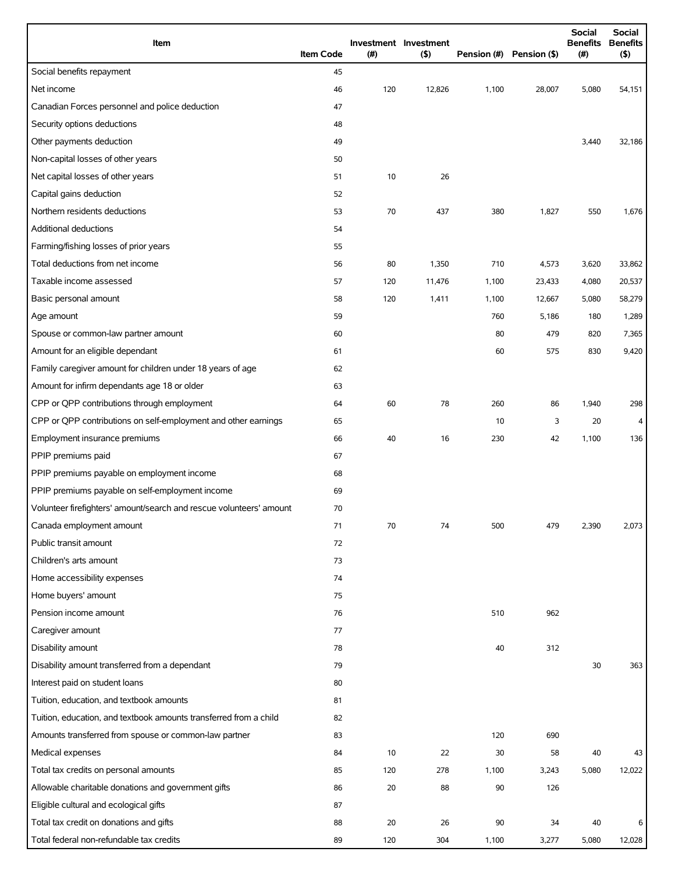| Item                                                                | <b>Item Code</b> | (# ) | Investment Investment<br>(5) |       | Pension (#) Pension (\$) | <b>Social</b><br><b>Benefits</b><br>(# ) | <b>Social</b><br><b>Benefits</b><br>(5) |
|---------------------------------------------------------------------|------------------|------|------------------------------|-------|--------------------------|------------------------------------------|-----------------------------------------|
| Social benefits repayment                                           | 45               |      |                              |       |                          |                                          |                                         |
| Net income                                                          | 46               | 120  | 12,826                       | 1,100 | 28,007                   | 5,080                                    | 54,151                                  |
| Canadian Forces personnel and police deduction                      | 47               |      |                              |       |                          |                                          |                                         |
| Security options deductions                                         | 48               |      |                              |       |                          |                                          |                                         |
| Other payments deduction                                            | 49               |      |                              |       |                          | 3,440                                    | 32,186                                  |
| Non-capital losses of other years                                   | 50               |      |                              |       |                          |                                          |                                         |
| Net capital losses of other years                                   | 51               | 10   | 26                           |       |                          |                                          |                                         |
| Capital gains deduction                                             | 52               |      |                              |       |                          |                                          |                                         |
| Northern residents deductions                                       | 53               | 70   | 437                          | 380   | 1,827                    | 550                                      | 1,676                                   |
| Additional deductions                                               | 54               |      |                              |       |                          |                                          |                                         |
| Farming/fishing losses of prior years                               | 55               |      |                              |       |                          |                                          |                                         |
| Total deductions from net income                                    | 56               | 80   | 1,350                        | 710   | 4,573                    | 3,620                                    | 33,862                                  |
| Taxable income assessed                                             | 57               | 120  | 11,476                       | 1,100 | 23,433                   | 4,080                                    | 20,537                                  |
| Basic personal amount                                               | 58               | 120  | 1,411                        | 1,100 | 12,667                   | 5,080                                    | 58,279                                  |
| Age amount                                                          | 59               |      |                              | 760   | 5,186                    | 180                                      | 1,289                                   |
| Spouse or common-law partner amount                                 | 60               |      |                              | 80    | 479                      | 820                                      | 7,365                                   |
| Amount for an eligible dependant                                    | 61               |      |                              | 60    | 575                      | 830                                      | 9,420                                   |
| Family caregiver amount for children under 18 years of age          | 62               |      |                              |       |                          |                                          |                                         |
| Amount for infirm dependants age 18 or older                        | 63               |      |                              |       |                          |                                          |                                         |
| CPP or QPP contributions through employment                         | 64               | 60   | 78                           | 260   | 86                       | 1,940                                    | 298                                     |
| CPP or QPP contributions on self-employment and other earnings      | 65               |      |                              | 10    | 3                        | 20                                       | 4                                       |
| Employment insurance premiums                                       | 66               | 40   | 16                           | 230   | 42                       | 1,100                                    | 136                                     |
| PPIP premiums paid                                                  | 67               |      |                              |       |                          |                                          |                                         |
| PPIP premiums payable on employment income                          | 68               |      |                              |       |                          |                                          |                                         |
| PPIP premiums payable on self-employment income                     | 69               |      |                              |       |                          |                                          |                                         |
| Volunteer firefighters' amount/search and rescue volunteers' amount | 70               |      |                              |       |                          |                                          |                                         |
| Canada employment amount                                            | 71               | 70   | 74                           | 500   | 479                      | 2,390                                    | 2,073                                   |
| Public transit amount                                               | 72               |      |                              |       |                          |                                          |                                         |
| Children's arts amount                                              | 73               |      |                              |       |                          |                                          |                                         |
| Home accessibility expenses                                         | 74               |      |                              |       |                          |                                          |                                         |
| Home buyers' amount                                                 | 75               |      |                              |       |                          |                                          |                                         |
| Pension income amount                                               | 76               |      |                              | 510   | 962                      |                                          |                                         |
| Caregiver amount                                                    | 77               |      |                              |       |                          |                                          |                                         |
| Disability amount                                                   | 78               |      |                              | 40    | 312                      |                                          |                                         |
| Disability amount transferred from a dependant                      | 79               |      |                              |       |                          | 30                                       | 363                                     |
| Interest paid on student loans                                      | 80               |      |                              |       |                          |                                          |                                         |
| Tuition, education, and textbook amounts                            | 81               |      |                              |       |                          |                                          |                                         |
| Tuition, education, and textbook amounts transferred from a child   | 82               |      |                              |       |                          |                                          |                                         |
| Amounts transferred from spouse or common-law partner               | 83               |      |                              | 120   | 690                      |                                          |                                         |
| Medical expenses                                                    | 84               | 10   | 22                           | 30    | 58                       | 40                                       | 43                                      |
| Total tax credits on personal amounts                               | 85               | 120  | 278                          | 1,100 | 3,243                    | 5,080                                    | 12,022                                  |
| Allowable charitable donations and government gifts                 | 86               | 20   | 88                           | 90    | 126                      |                                          |                                         |
| Eligible cultural and ecological gifts                              | 87               |      |                              |       |                          |                                          |                                         |
| Total tax credit on donations and gifts                             | 88               | 20   | 26                           | 90    | 34                       | 40                                       | 6                                       |
| Total federal non-refundable tax credits                            | 89               | 120  | 304                          | 1,100 | 3,277                    | 5,080                                    | 12,028                                  |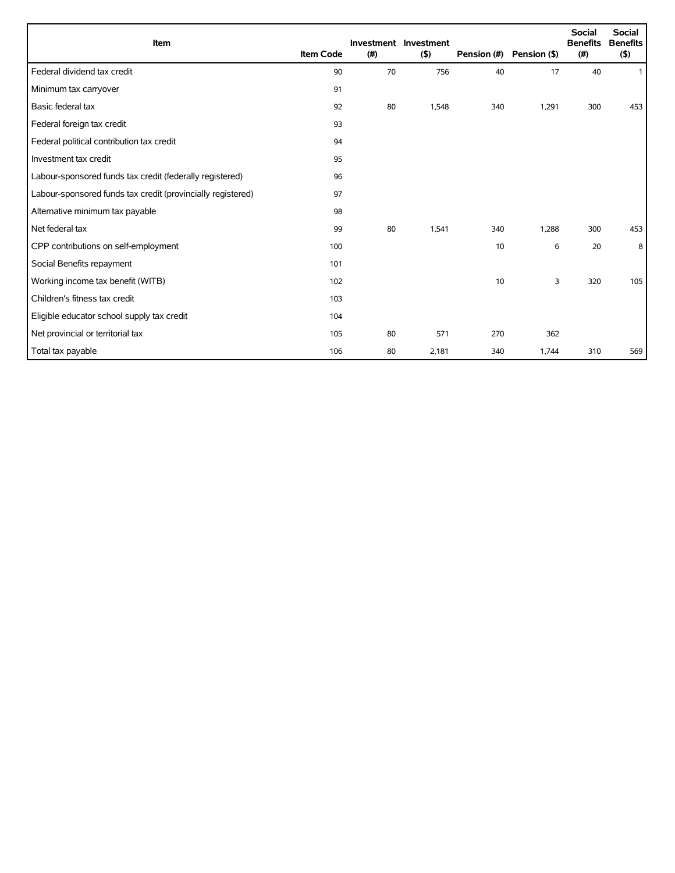| <b>Item</b>                                                 | <b>Item Code</b> | (#) | Investment Investment<br>(5) | Pension (#) | Pension (\$) | Social<br><b>Benefits</b><br>(#) | <b>Social</b><br><b>Benefits</b><br>$($ \$) |
|-------------------------------------------------------------|------------------|-----|------------------------------|-------------|--------------|----------------------------------|---------------------------------------------|
| Federal dividend tax credit                                 | 90               | 70  | 756                          | 40          | 17           | 40                               | $\mathbf{1}$                                |
| Minimum tax carryover                                       | 91               |     |                              |             |              |                                  |                                             |
| Basic federal tax                                           | 92               | 80  | 1,548                        | 340         | 1,291        | 300                              | 453                                         |
| Federal foreign tax credit                                  | 93               |     |                              |             |              |                                  |                                             |
| Federal political contribution tax credit                   | 94               |     |                              |             |              |                                  |                                             |
| Investment tax credit                                       | 95               |     |                              |             |              |                                  |                                             |
| Labour-sponsored funds tax credit (federally registered)    | 96               |     |                              |             |              |                                  |                                             |
| Labour-sponsored funds tax credit (provincially registered) | 97               |     |                              |             |              |                                  |                                             |
| Alternative minimum tax payable                             | 98               |     |                              |             |              |                                  |                                             |
| Net federal tax                                             | 99               | 80  | 1,541                        | 340         | 1,288        | 300                              | 453                                         |
| CPP contributions on self-employment                        | 100              |     |                              | 10          | 6            | 20                               | 8                                           |
| Social Benefits repayment                                   | 101              |     |                              |             |              |                                  |                                             |
| Working income tax benefit (WITB)                           | 102              |     |                              | 10          | 3            | 320                              | 105                                         |
| Children's fitness tax credit                               | 103              |     |                              |             |              |                                  |                                             |
| Eligible educator school supply tax credit                  | 104              |     |                              |             |              |                                  |                                             |
| Net provincial or territorial tax                           | 105              | 80  | 571                          | 270         | 362          |                                  |                                             |
| Total tax payable                                           | 106              | 80  | 2,181                        | 340         | 1,744        | 310                              | 569                                         |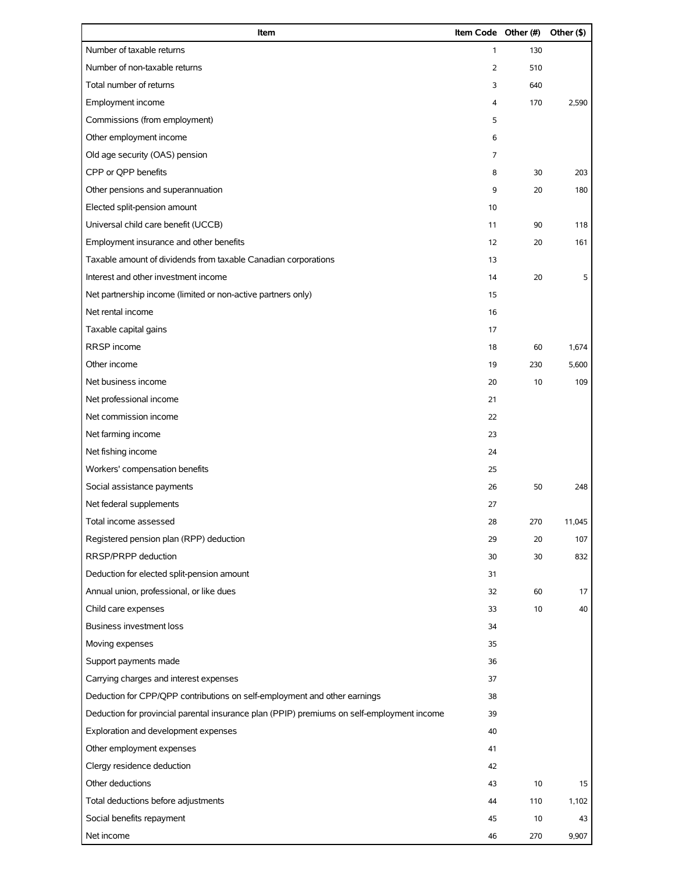| Item                                                                                       | Item Code Other (#) |     | Other (\$) |
|--------------------------------------------------------------------------------------------|---------------------|-----|------------|
| Number of taxable returns                                                                  | 1                   | 130 |            |
| Number of non-taxable returns                                                              | 2                   | 510 |            |
| Total number of returns                                                                    | 3                   | 640 |            |
| Employment income                                                                          | 4                   | 170 | 2,590      |
| Commissions (from employment)                                                              | 5                   |     |            |
| Other employment income                                                                    | 6                   |     |            |
| Old age security (OAS) pension                                                             | 7                   |     |            |
| CPP or QPP benefits                                                                        | 8                   | 30  | 203        |
| Other pensions and superannuation                                                          | 9                   | 20  | 180        |
| Elected split-pension amount                                                               | 10                  |     |            |
| Universal child care benefit (UCCB)                                                        | 11                  | 90  | 118        |
| Employment insurance and other benefits                                                    | 12                  | 20  | 161        |
| Taxable amount of dividends from taxable Canadian corporations                             | 13                  |     |            |
| Interest and other investment income                                                       | 14                  | 20  | 5          |
| Net partnership income (limited or non-active partners only)                               | 15                  |     |            |
| Net rental income                                                                          | 16                  |     |            |
| Taxable capital gains                                                                      | 17                  |     |            |
| RRSP income                                                                                | 18                  | 60  | 1,674      |
| Other income                                                                               | 19                  | 230 | 5,600      |
| Net business income                                                                        | 20                  | 10  | 109        |
| Net professional income                                                                    | 21                  |     |            |
| Net commission income                                                                      | 22                  |     |            |
| Net farming income                                                                         | 23                  |     |            |
| Net fishing income                                                                         | 24                  |     |            |
| Workers' compensation benefits                                                             | 25                  |     |            |
| Social assistance payments                                                                 | 26                  | 50  | 248        |
| Net federal supplements                                                                    | 27                  |     |            |
| Total income assessed                                                                      | 28                  | 270 | 11,045     |
| Registered pension plan (RPP) deduction                                                    | 29                  | 20  | 107        |
| RRSP/PRPP deduction                                                                        | 30                  | 30  | 832        |
| Deduction for elected split-pension amount                                                 | 31                  |     |            |
| Annual union, professional, or like dues                                                   | 32                  | 60  | 17         |
| Child care expenses                                                                        | 33                  | 10  | 40         |
| <b>Business investment loss</b>                                                            | 34                  |     |            |
| Moving expenses                                                                            | 35                  |     |            |
| Support payments made                                                                      | 36                  |     |            |
| Carrying charges and interest expenses                                                     | 37                  |     |            |
| Deduction for CPP/QPP contributions on self-employment and other earnings                  | 38                  |     |            |
| Deduction for provincial parental insurance plan (PPIP) premiums on self-employment income | 39                  |     |            |
| Exploration and development expenses                                                       | 40                  |     |            |
| Other employment expenses                                                                  | 41                  |     |            |
| Clergy residence deduction                                                                 | 42                  |     |            |
| Other deductions                                                                           | 43                  | 10  | 15         |
| Total deductions before adjustments                                                        | 44                  | 110 | 1,102      |
| Social benefits repayment                                                                  | 45                  | 10  | 43         |
| Net income                                                                                 | 46                  | 270 | 9,907      |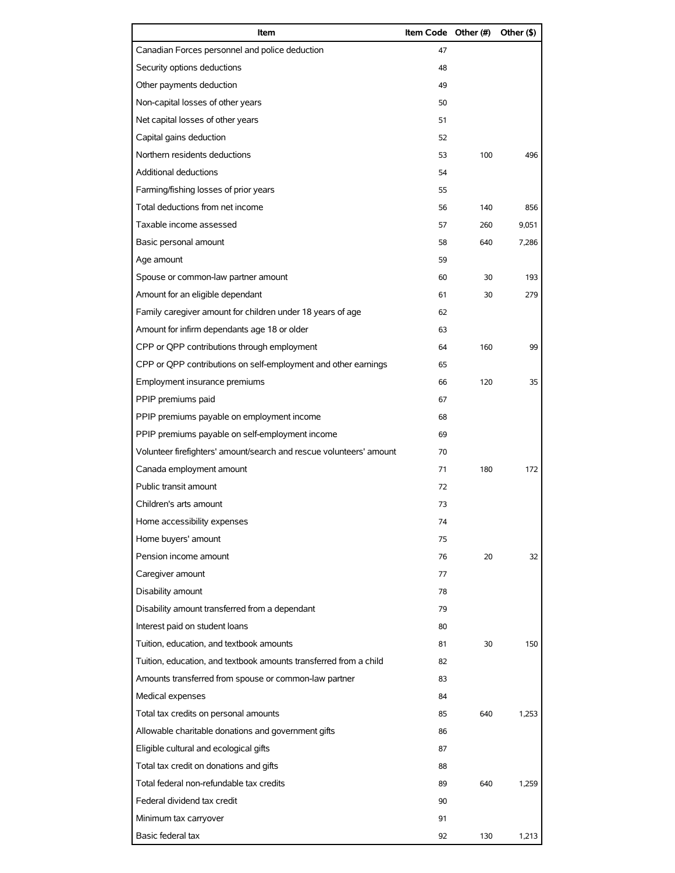| Item                                                                | Item Code Other (#) |     | Other (\$) |
|---------------------------------------------------------------------|---------------------|-----|------------|
| Canadian Forces personnel and police deduction                      | 47                  |     |            |
| Security options deductions                                         | 48                  |     |            |
| Other payments deduction                                            | 49                  |     |            |
| Non-capital losses of other years                                   | 50                  |     |            |
| Net capital losses of other years                                   | 51                  |     |            |
| Capital gains deduction                                             | 52                  |     |            |
| Northern residents deductions                                       | 53                  | 100 | 496        |
| Additional deductions                                               | 54                  |     |            |
| Farming/fishing losses of prior years                               | 55                  |     |            |
| Total deductions from net income                                    | 56                  | 140 | 856        |
| Taxable income assessed                                             | 57                  | 260 | 9,051      |
| Basic personal amount                                               | 58                  | 640 | 7,286      |
| Age amount                                                          | 59                  |     |            |
| Spouse or common-law partner amount                                 | 60                  | 30  | 193        |
| Amount for an eligible dependant                                    | 61                  | 30  | 279        |
| Family caregiver amount for children under 18 years of age          | 62                  |     |            |
| Amount for infirm dependants age 18 or older                        | 63                  |     |            |
| CPP or QPP contributions through employment                         | 64                  | 160 | 99         |
| CPP or QPP contributions on self-employment and other earnings      | 65                  |     |            |
| Employment insurance premiums                                       | 66                  | 120 | 35         |
| PPIP premiums paid                                                  | 67                  |     |            |
| PPIP premiums payable on employment income                          | 68                  |     |            |
| PPIP premiums payable on self-employment income                     | 69                  |     |            |
| Volunteer firefighters' amount/search and rescue volunteers' amount | 70                  |     |            |
| Canada employment amount                                            | 71                  | 180 | 172        |
| Public transit amount                                               | 72                  |     |            |
| Children's arts amount                                              | 73                  |     |            |
| Home accessibility expenses                                         | 74                  |     |            |
| Home buyers' amount                                                 | 75                  |     |            |
| Pension income amount                                               | 76                  | 20  | 32         |
| Caregiver amount                                                    | 77                  |     |            |
| Disability amount                                                   | 78                  |     |            |
| Disability amount transferred from a dependant                      | 79                  |     |            |
| Interest paid on student loans                                      | 80                  |     |            |
| Tuition, education, and textbook amounts                            | 81                  | 30  | 150        |
| Tuition, education, and textbook amounts transferred from a child   | 82                  |     |            |
| Amounts transferred from spouse or common-law partner               | 83                  |     |            |
| Medical expenses                                                    | 84                  |     |            |
| Total tax credits on personal amounts                               | 85                  | 640 | 1,253      |
| Allowable charitable donations and government gifts                 | 86                  |     |            |
| Eligible cultural and ecological gifts                              | 87                  |     |            |
| Total tax credit on donations and gifts                             | 88                  |     |            |
| Total federal non-refundable tax credits                            | 89                  | 640 | 1,259      |
| Federal dividend tax credit                                         | 90                  |     |            |
| Minimum tax carryover                                               | 91                  |     |            |
| Basic federal tax                                                   | 92                  | 130 | 1,213      |